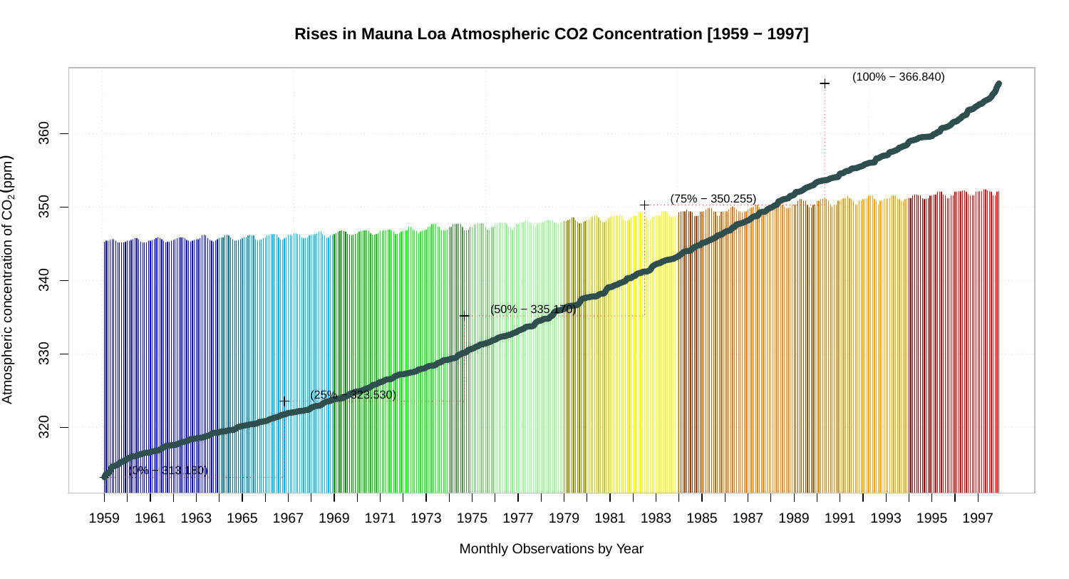**Rises in Mauna Loa Atmospheric CO2 Concentration [1959 − 1997]**



Monthly Observations by Year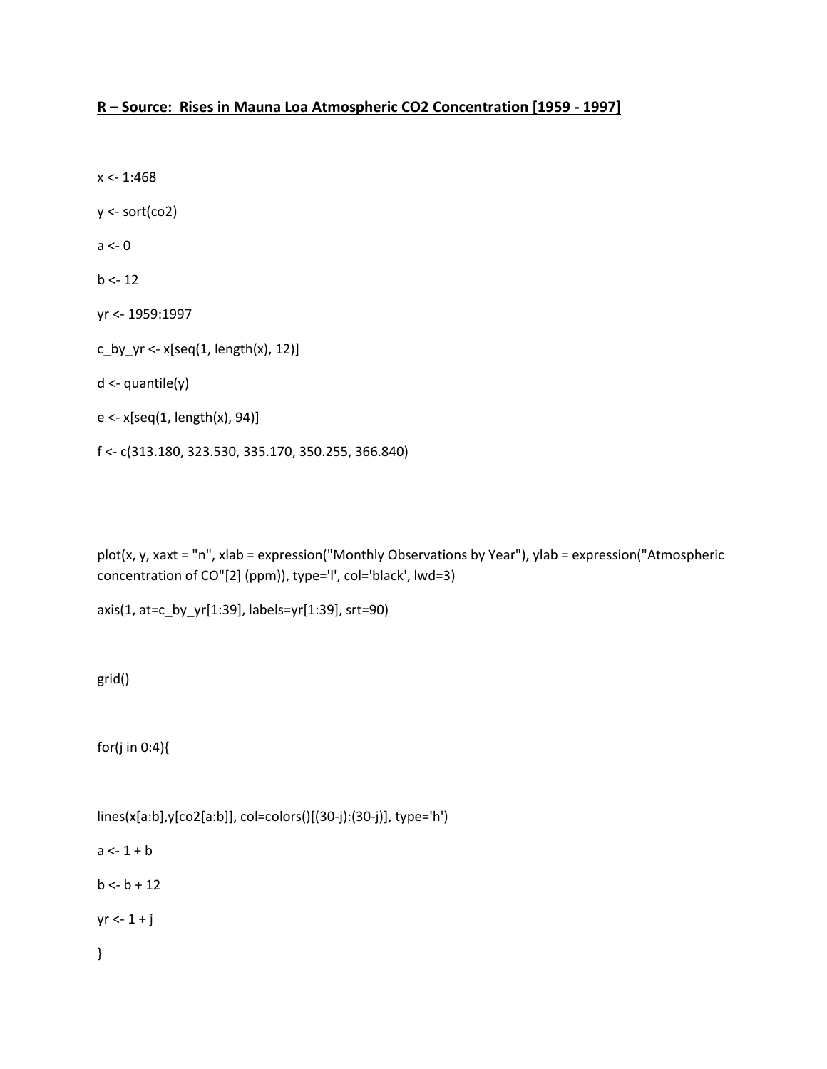## **R – Source: Rises in Mauna Loa Atmospheric CO2 Concentration [1959 - 1997]**

 $x < -1:468$ y <- sort(co2)  $a < -0$  $b < -12$ yr <- 1959:1997 c\_by\_yr <- $x[seq(1, length(x), 12)]$ d <- quantile(y) e <- x[seq(1, length(x), 94)] f <- c(313.180, 323.530, 335.170, 350.255, 366.840)

plot(x, y, xaxt = "n", xlab = expression("Monthly Observations by Year"), ylab = expression("Atmospheric concentration of CO"[2] (ppm)), type='l', col='black', lwd=3)

axis(1, at=c\_by\_yr[1:39], labels=yr[1:39], srt=90)

grid()

for(j in 0:4){

lines(x[a:b],y[co2[a:b]], col=colors()[(30-j):(30-j)], type='h')  $a < -1 + b$  $b < -b + 12$ 

 $yr < -1 + j$ 

}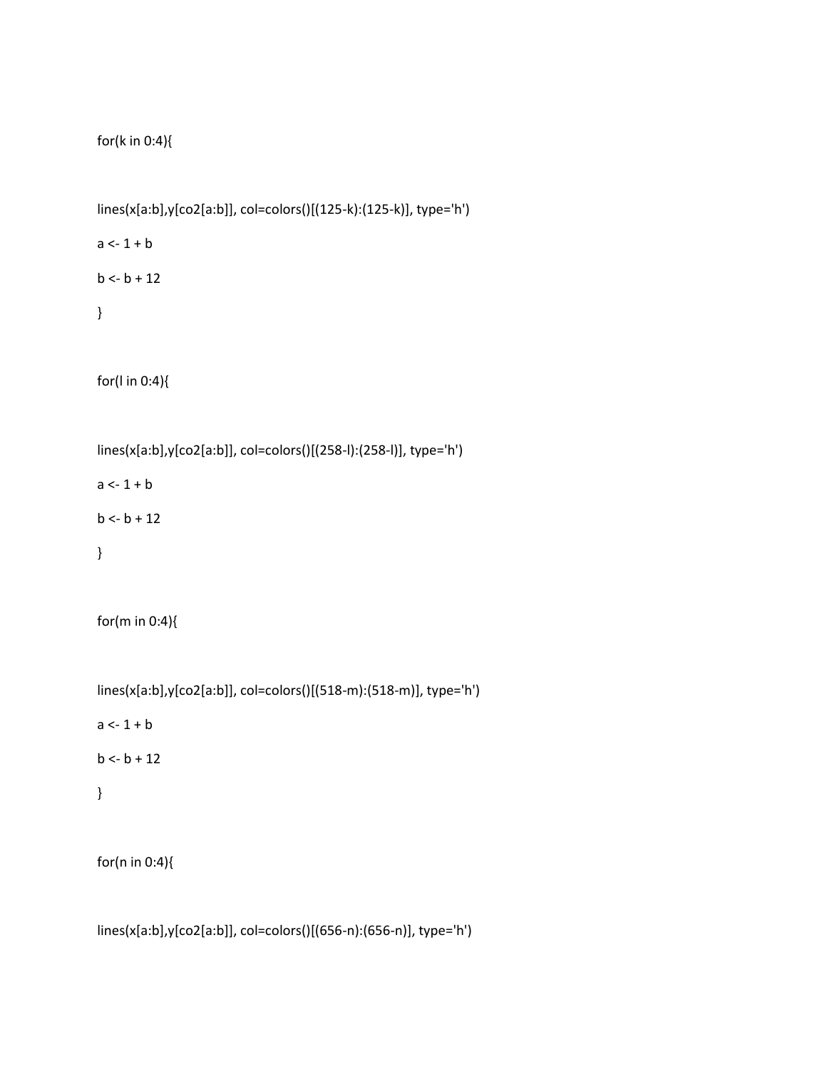```
for(k in 0:4){
```

```
lines(x[a:b],y[co2[a:b]], col=colors()[(125-k):(125-k)], type='h')
```
 $a < -1 + b$ 

 $b < -b + 12$ 

}

for(l in 0:4){

lines(x[a:b],y[co2[a:b]], col=colors()[(258-l):(258-l)], type='h')

 $a < -1 + b$ 

 $b < -b + 12$ 

}

for(m in 0:4){

lines(x[a:b],y[co2[a:b]], col=colors()[(518-m):(518-m)], type='h')

 $a < -1 + b$ 

 $b < b + 12$ 

}

for(n in 0:4){

lines(x[a:b],y[co2[a:b]], col=colors()[(656-n):(656-n)], type='h')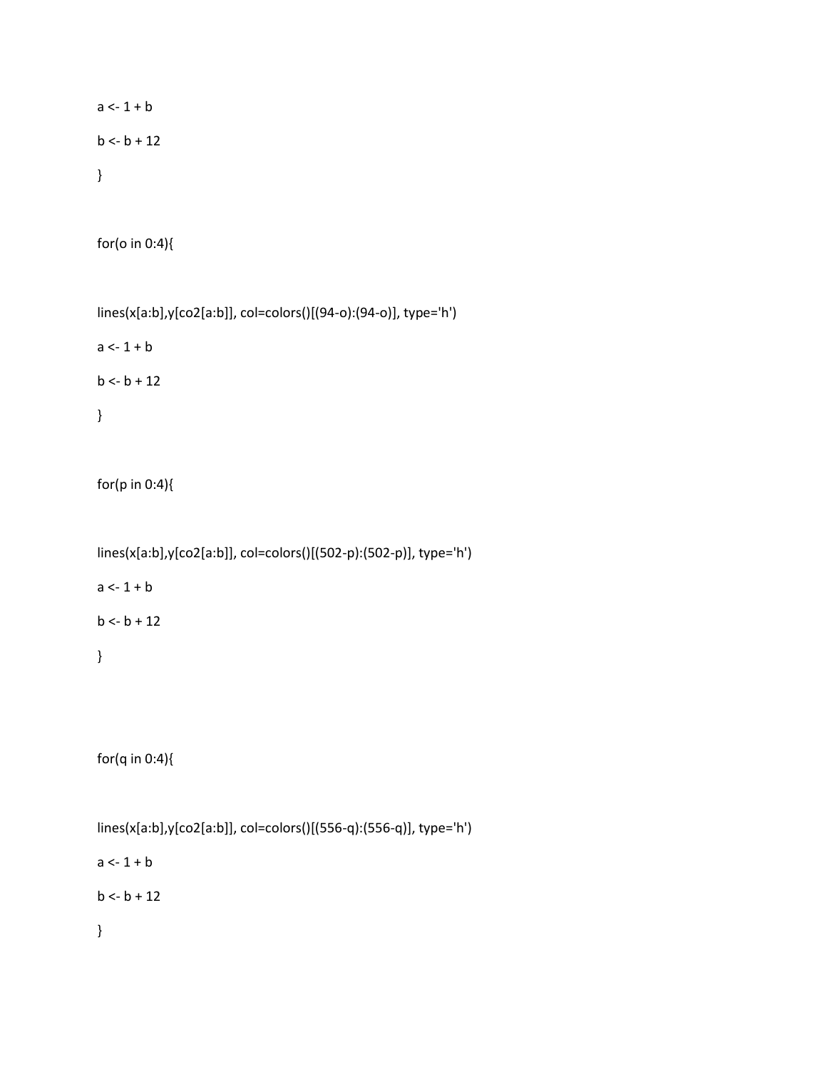```
a < -1 + bb < -b + 12}
```
for(o in 0:4){

```
lines(x[a:b],y[co2[a:b]], col=colors()[(94-o):(94-o)], type='h')
a < -1 + bb < b + 12}
```

```
for(p in 0:4){
```
lines(x[a:b],y[co2[a:b]], col=colors()[(502-p):(502-p)], type='h')

 $a < -1 + b$ 

 $b < -b + 12$ 

}

for(q in 0:4){

lines(x[a:b],y[co2[a:b]], col=colors()[(556-q):(556-q)], type='h')  $a < -1 + b$  $b < -b + 12$ }